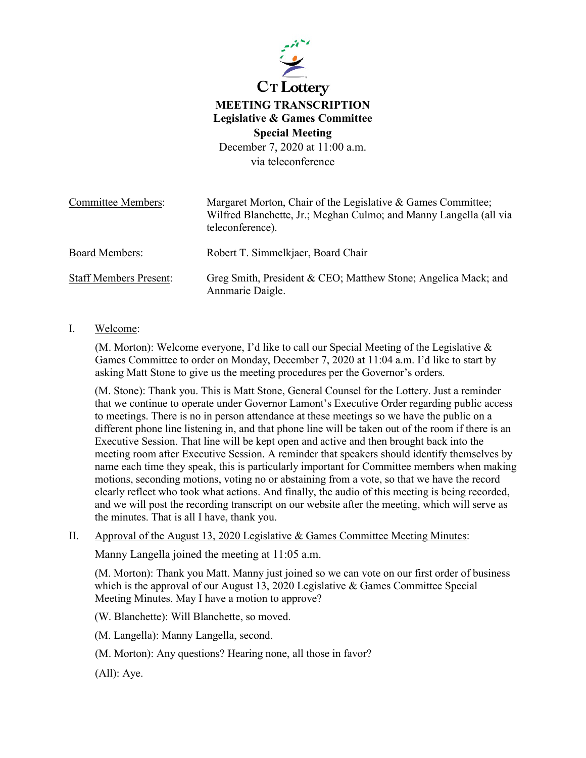

## **MEETING TRANSCRIPTION Legislative & Games Committee Special Meeting** December 7, 2020 at 11:00 a.m.

via teleconference

| <b>Committee Members:</b>     | Margaret Morton, Chair of the Legislative & Games Committee;<br>Wilfred Blanchette, Jr.; Meghan Culmo; and Manny Langella (all via<br>teleconference). |
|-------------------------------|--------------------------------------------------------------------------------------------------------------------------------------------------------|
| <b>Board Members:</b>         | Robert T. Simmelkjaer, Board Chair                                                                                                                     |
| <b>Staff Members Present:</b> | Greg Smith, President & CEO; Matthew Stone; Angelica Mack; and<br>Annmarie Daigle.                                                                     |

## I. Welcome:

(M. Morton): Welcome everyone, I'd like to call our Special Meeting of the Legislative & Games Committee to order on Monday, December 7, 2020 at 11:04 a.m. I'd like to start by asking Matt Stone to give us the meeting procedures per the Governor's orders.

(M. Stone): Thank you. This is Matt Stone, General Counsel for the Lottery. Just a reminder that we continue to operate under Governor Lamont's Executive Order regarding public access to meetings. There is no in person attendance at these meetings so we have the public on a different phone line listening in, and that phone line will be taken out of the room if there is an Executive Session. That line will be kept open and active and then brought back into the meeting room after Executive Session. A reminder that speakers should identify themselves by name each time they speak, this is particularly important for Committee members when making motions, seconding motions, voting no or abstaining from a vote, so that we have the record clearly reflect who took what actions. And finally, the audio of this meeting is being recorded, and we will post the recording transcript on our website after the meeting, which will serve as the minutes. That is all I have, thank you.

II. Approval of the August 13, 2020 Legislative & Games Committee Meeting Minutes:

Manny Langella joined the meeting at 11:05 a.m.

(M. Morton): Thank you Matt. Manny just joined so we can vote on our first order of business which is the approval of our August 13, 2020 Legislative & Games Committee Special Meeting Minutes. May I have a motion to approve?

(W. Blanchette): Will Blanchette, so moved.

(M. Langella): Manny Langella, second.

(M. Morton): Any questions? Hearing none, all those in favor?

(All): Aye.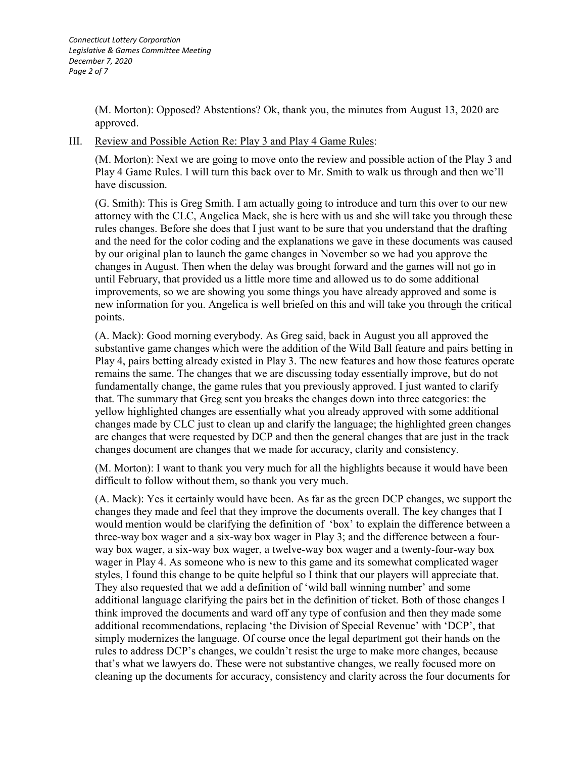(M. Morton): Opposed? Abstentions? Ok, thank you, the minutes from August 13, 2020 are approved.

## III. Review and Possible Action Re: Play 3 and Play 4 Game Rules:

(M. Morton): Next we are going to move onto the review and possible action of the Play 3 and Play 4 Game Rules. I will turn this back over to Mr. Smith to walk us through and then we'll have discussion.

(G. Smith): This is Greg Smith. I am actually going to introduce and turn this over to our new attorney with the CLC, Angelica Mack, she is here with us and she will take you through these rules changes. Before she does that I just want to be sure that you understand that the drafting and the need for the color coding and the explanations we gave in these documents was caused by our original plan to launch the game changes in November so we had you approve the changes in August. Then when the delay was brought forward and the games will not go in until February, that provided us a little more time and allowed us to do some additional improvements, so we are showing you some things you have already approved and some is new information for you. Angelica is well briefed on this and will take you through the critical points.

(A. Mack): Good morning everybody. As Greg said, back in August you all approved the substantive game changes which were the addition of the Wild Ball feature and pairs betting in Play 4, pairs betting already existed in Play 3. The new features and how those features operate remains the same. The changes that we are discussing today essentially improve, but do not fundamentally change, the game rules that you previously approved. I just wanted to clarify that. The summary that Greg sent you breaks the changes down into three categories: the yellow highlighted changes are essentially what you already approved with some additional changes made by CLC just to clean up and clarify the language; the highlighted green changes are changes that were requested by DCP and then the general changes that are just in the track changes document are changes that we made for accuracy, clarity and consistency.

(M. Morton): I want to thank you very much for all the highlights because it would have been difficult to follow without them, so thank you very much.

(A. Mack): Yes it certainly would have been. As far as the green DCP changes, we support the changes they made and feel that they improve the documents overall. The key changes that I would mention would be clarifying the definition of 'box' to explain the difference between a three-way box wager and a six-way box wager in Play 3; and the difference between a fourway box wager, a six-way box wager, a twelve-way box wager and a twenty-four-way box wager in Play 4. As someone who is new to this game and its somewhat complicated wager styles, I found this change to be quite helpful so I think that our players will appreciate that. They also requested that we add a definition of 'wild ball winning number' and some additional language clarifying the pairs bet in the definition of ticket. Both of those changes I think improved the documents and ward off any type of confusion and then they made some additional recommendations, replacing 'the Division of Special Revenue' with 'DCP', that simply modernizes the language. Of course once the legal department got their hands on the rules to address DCP's changes, we couldn't resist the urge to make more changes, because that's what we lawyers do. These were not substantive changes, we really focused more on cleaning up the documents for accuracy, consistency and clarity across the four documents for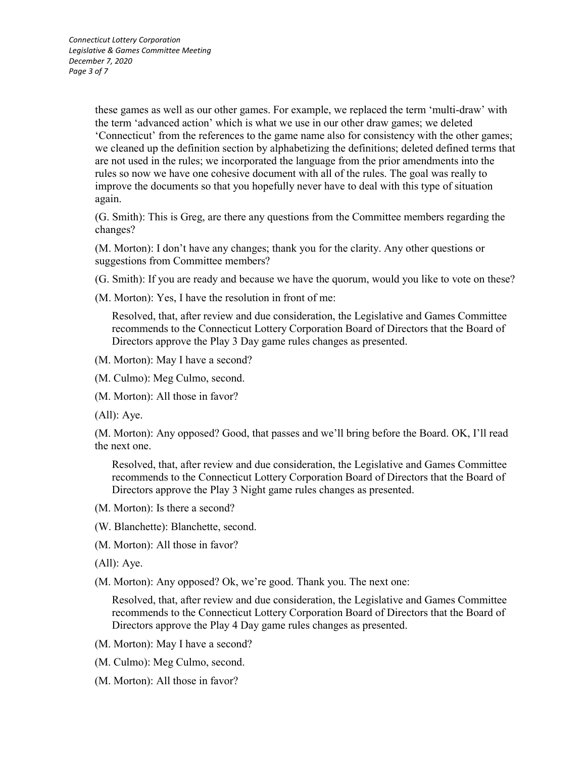these games as well as our other games. For example, we replaced the term 'multi-draw' with the term 'advanced action' which is what we use in our other draw games; we deleted 'Connecticut' from the references to the game name also for consistency with the other games; we cleaned up the definition section by alphabetizing the definitions; deleted defined terms that are not used in the rules; we incorporated the language from the prior amendments into the rules so now we have one cohesive document with all of the rules. The goal was really to improve the documents so that you hopefully never have to deal with this type of situation again.

(G. Smith): This is Greg, are there any questions from the Committee members regarding the changes?

(M. Morton): I don't have any changes; thank you for the clarity. Any other questions or suggestions from Committee members?

(G. Smith): If you are ready and because we have the quorum, would you like to vote on these?

(M. Morton): Yes, I have the resolution in front of me:

Resolved, that, after review and due consideration, the Legislative and Games Committee recommends to the Connecticut Lottery Corporation Board of Directors that the Board of Directors approve the Play 3 Day game rules changes as presented.

(M. Morton): May I have a second?

(M. Culmo): Meg Culmo, second.

(M. Morton): All those in favor?

(All): Aye.

(M. Morton): Any opposed? Good, that passes and we'll bring before the Board. OK, I'll read the next one.

Resolved, that, after review and due consideration, the Legislative and Games Committee recommends to the Connecticut Lottery Corporation Board of Directors that the Board of Directors approve the Play 3 Night game rules changes as presented.

(M. Morton): Is there a second?

(W. Blanchette): Blanchette, second.

(M. Morton): All those in favor?

(All): Aye.

(M. Morton): Any opposed? Ok, we're good. Thank you. The next one:

Resolved, that, after review and due consideration, the Legislative and Games Committee recommends to the Connecticut Lottery Corporation Board of Directors that the Board of Directors approve the Play 4 Day game rules changes as presented.

- (M. Morton): May I have a second?
- (M. Culmo): Meg Culmo, second.
- (M. Morton): All those in favor?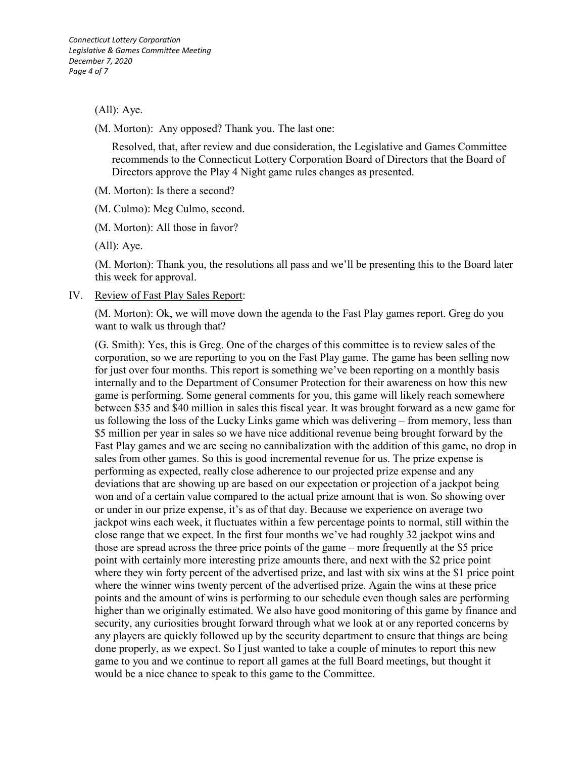(All): Aye.

(M. Morton): Any opposed? Thank you. The last one:

Resolved, that, after review and due consideration, the Legislative and Games Committee recommends to the Connecticut Lottery Corporation Board of Directors that the Board of Directors approve the Play 4 Night game rules changes as presented.

(M. Morton): Is there a second?

(M. Culmo): Meg Culmo, second.

(M. Morton): All those in favor?

(All): Aye.

(M. Morton): Thank you, the resolutions all pass and we'll be presenting this to the Board later this week for approval.

IV. Review of Fast Play Sales Report:

(M. Morton): Ok, we will move down the agenda to the Fast Play games report. Greg do you want to walk us through that?

(G. Smith): Yes, this is Greg. One of the charges of this committee is to review sales of the corporation, so we are reporting to you on the Fast Play game. The game has been selling now for just over four months. This report is something we've been reporting on a monthly basis internally and to the Department of Consumer Protection for their awareness on how this new game is performing. Some general comments for you, this game will likely reach somewhere between \$35 and \$40 million in sales this fiscal year. It was brought forward as a new game for us following the loss of the Lucky Links game which was delivering – from memory, less than \$5 million per year in sales so we have nice additional revenue being brought forward by the Fast Play games and we are seeing no cannibalization with the addition of this game, no drop in sales from other games. So this is good incremental revenue for us. The prize expense is performing as expected, really close adherence to our projected prize expense and any deviations that are showing up are based on our expectation or projection of a jackpot being won and of a certain value compared to the actual prize amount that is won. So showing over or under in our prize expense, it's as of that day. Because we experience on average two jackpot wins each week, it fluctuates within a few percentage points to normal, still within the close range that we expect. In the first four months we've had roughly 32 jackpot wins and those are spread across the three price points of the game – more frequently at the \$5 price point with certainly more interesting prize amounts there, and next with the \$2 price point where they win forty percent of the advertised prize, and last with six wins at the \$1 price point where the winner wins twenty percent of the advertised prize. Again the wins at these price points and the amount of wins is performing to our schedule even though sales are performing higher than we originally estimated. We also have good monitoring of this game by finance and security, any curiosities brought forward through what we look at or any reported concerns by any players are quickly followed up by the security department to ensure that things are being done properly, as we expect. So I just wanted to take a couple of minutes to report this new game to you and we continue to report all games at the full Board meetings, but thought it would be a nice chance to speak to this game to the Committee.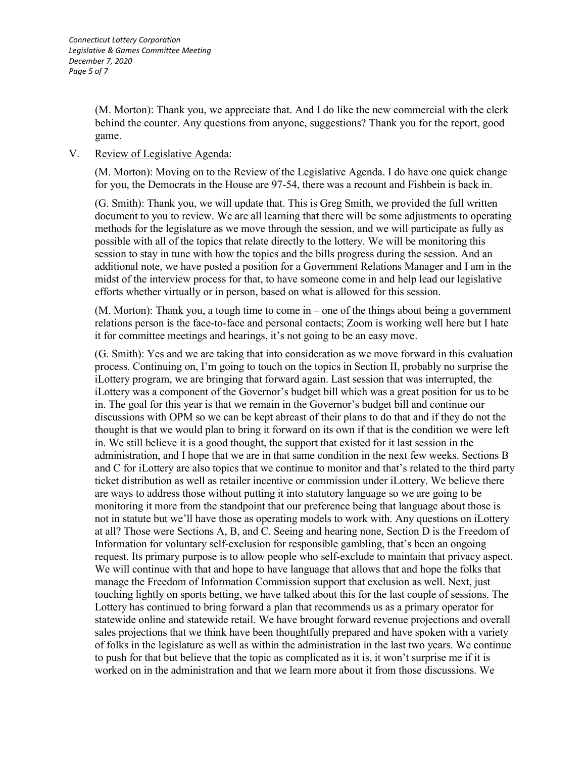(M. Morton): Thank you, we appreciate that. And I do like the new commercial with the clerk behind the counter. Any questions from anyone, suggestions? Thank you for the report, good game.

## V. Review of Legislative Agenda:

(M. Morton): Moving on to the Review of the Legislative Agenda. I do have one quick change for you, the Democrats in the House are 97-54, there was a recount and Fishbein is back in.

(G. Smith): Thank you, we will update that. This is Greg Smith, we provided the full written document to you to review. We are all learning that there will be some adjustments to operating methods for the legislature as we move through the session, and we will participate as fully as possible with all of the topics that relate directly to the lottery. We will be monitoring this session to stay in tune with how the topics and the bills progress during the session. And an additional note, we have posted a position for a Government Relations Manager and I am in the midst of the interview process for that, to have someone come in and help lead our legislative efforts whether virtually or in person, based on what is allowed for this session.

(M. Morton): Thank you, a tough time to come in – one of the things about being a government relations person is the face-to-face and personal contacts; Zoom is working well here but I hate it for committee meetings and hearings, it's not going to be an easy move.

(G. Smith): Yes and we are taking that into consideration as we move forward in this evaluation process. Continuing on, I'm going to touch on the topics in Section II, probably no surprise the iLottery program, we are bringing that forward again. Last session that was interrupted, the iLottery was a component of the Governor's budget bill which was a great position for us to be in. The goal for this year is that we remain in the Governor's budget bill and continue our discussions with OPM so we can be kept abreast of their plans to do that and if they do not the thought is that we would plan to bring it forward on its own if that is the condition we were left in. We still believe it is a good thought, the support that existed for it last session in the administration, and I hope that we are in that same condition in the next few weeks. Sections B and C for iLottery are also topics that we continue to monitor and that's related to the third party ticket distribution as well as retailer incentive or commission under iLottery. We believe there are ways to address those without putting it into statutory language so we are going to be monitoring it more from the standpoint that our preference being that language about those is not in statute but we'll have those as operating models to work with. Any questions on iLottery at all? Those were Sections A, B, and C. Seeing and hearing none, Section D is the Freedom of Information for voluntary self-exclusion for responsible gambling, that's been an ongoing request. Its primary purpose is to allow people who self-exclude to maintain that privacy aspect. We will continue with that and hope to have language that allows that and hope the folks that manage the Freedom of Information Commission support that exclusion as well. Next, just touching lightly on sports betting, we have talked about this for the last couple of sessions. The Lottery has continued to bring forward a plan that recommends us as a primary operator for statewide online and statewide retail. We have brought forward revenue projections and overall sales projections that we think have been thoughtfully prepared and have spoken with a variety of folks in the legislature as well as within the administration in the last two years. We continue to push for that but believe that the topic as complicated as it is, it won't surprise me if it is worked on in the administration and that we learn more about it from those discussions. We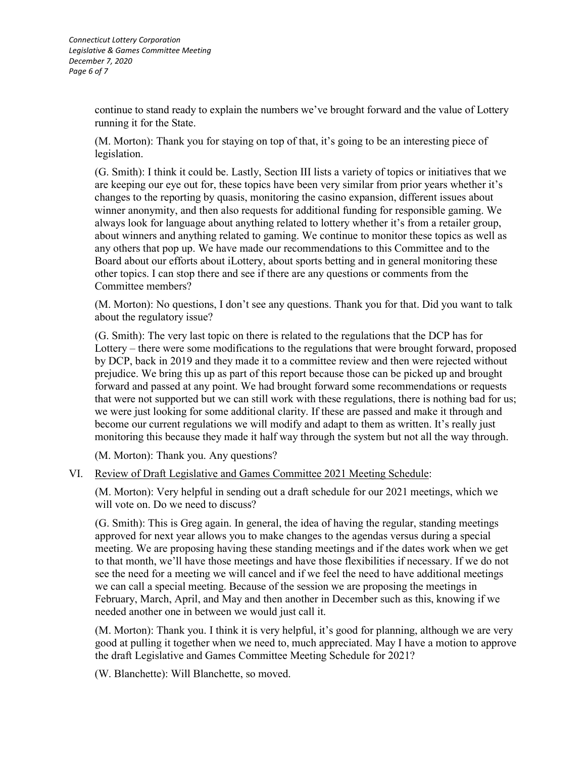continue to stand ready to explain the numbers we've brought forward and the value of Lottery running it for the State.

(M. Morton): Thank you for staying on top of that, it's going to be an interesting piece of legislation.

(G. Smith): I think it could be. Lastly, Section III lists a variety of topics or initiatives that we are keeping our eye out for, these topics have been very similar from prior years whether it's changes to the reporting by quasis, monitoring the casino expansion, different issues about winner anonymity, and then also requests for additional funding for responsible gaming. We always look for language about anything related to lottery whether it's from a retailer group, about winners and anything related to gaming. We continue to monitor these topics as well as any others that pop up. We have made our recommendations to this Committee and to the Board about our efforts about iLottery, about sports betting and in general monitoring these other topics. I can stop there and see if there are any questions or comments from the Committee members?

(M. Morton): No questions, I don't see any questions. Thank you for that. Did you want to talk about the regulatory issue?

(G. Smith): The very last topic on there is related to the regulations that the DCP has for Lottery – there were some modifications to the regulations that were brought forward, proposed by DCP, back in 2019 and they made it to a committee review and then were rejected without prejudice. We bring this up as part of this report because those can be picked up and brought forward and passed at any point. We had brought forward some recommendations or requests that were not supported but we can still work with these regulations, there is nothing bad for us; we were just looking for some additional clarity. If these are passed and make it through and become our current regulations we will modify and adapt to them as written. It's really just monitoring this because they made it half way through the system but not all the way through.

(M. Morton): Thank you. Any questions?

VI. Review of Draft Legislative and Games Committee 2021 Meeting Schedule:

(M. Morton): Very helpful in sending out a draft schedule for our 2021 meetings, which we will vote on. Do we need to discuss?

(G. Smith): This is Greg again. In general, the idea of having the regular, standing meetings approved for next year allows you to make changes to the agendas versus during a special meeting. We are proposing having these standing meetings and if the dates work when we get to that month, we'll have those meetings and have those flexibilities if necessary. If we do not see the need for a meeting we will cancel and if we feel the need to have additional meetings we can call a special meeting. Because of the session we are proposing the meetings in February, March, April, and May and then another in December such as this, knowing if we needed another one in between we would just call it.

(M. Morton): Thank you. I think it is very helpful, it's good for planning, although we are very good at pulling it together when we need to, much appreciated. May I have a motion to approve the draft Legislative and Games Committee Meeting Schedule for 2021?

(W. Blanchette): Will Blanchette, so moved.